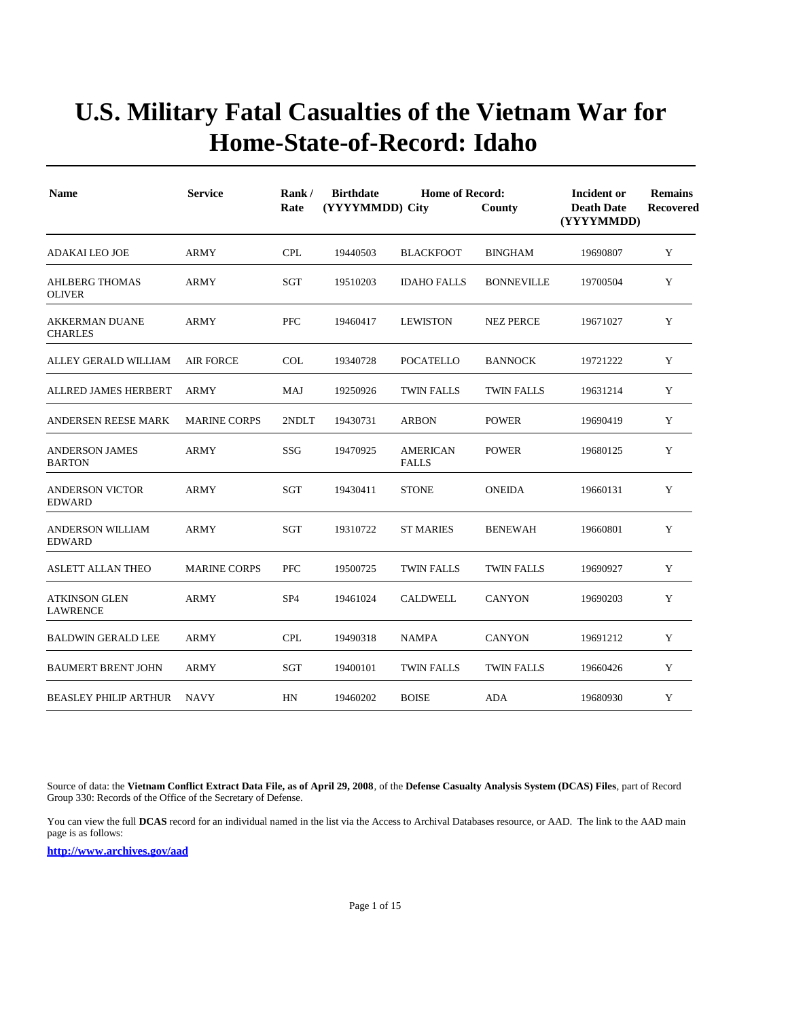| <b>Name</b>                              | <b>Service</b>      | Rank/<br>Rate   | <b>Birthdate</b><br>(YYYYMMDD) City | <b>Home of Record:</b>          | Incident or<br><b>Death Date</b><br>(YYYYMMDD) | <b>Remains</b><br>Recovered |   |
|------------------------------------------|---------------------|-----------------|-------------------------------------|---------------------------------|------------------------------------------------|-----------------------------|---|
| <b>ADAKAI LEO JOE</b>                    | <b>ARMY</b>         | <b>CPL</b>      | 19440503                            | <b>BLACKFOOT</b>                | <b>BINGHAM</b>                                 | 19690807                    | Y |
| <b>AHLBERG THOMAS</b><br><b>OLIVER</b>   | <b>ARMY</b>         | SGT             | 19510203                            | <b>IDAHO FALLS</b>              | <b>BONNEVILLE</b>                              | 19700504                    | Y |
| <b>AKKERMAN DUANE</b><br><b>CHARLES</b>  | ARMY                | <b>PFC</b>      | 19460417                            | <b>LEWISTON</b>                 | <b>NEZ PERCE</b>                               | 19671027                    | Y |
| ALLEY GERALD WILLIAM                     | <b>AIR FORCE</b>    | <b>COL</b>      | 19340728                            | <b>POCATELLO</b>                | <b>BANNOCK</b>                                 | 19721222                    | Y |
| ALLRED JAMES HERBERT                     | <b>ARMY</b>         | MAJ             | 19250926                            | <b>TWIN FALLS</b>               | <b>TWIN FALLS</b>                              | 19631214                    | Y |
| ANDERSEN REESE MARK                      | <b>MARINE CORPS</b> | 2NDLT           | 19430731                            | <b>ARBON</b>                    | <b>POWER</b>                                   | 19690419                    | Y |
| <b>ANDERSON JAMES</b><br><b>BARTON</b>   | <b>ARMY</b>         | SSG             | 19470925                            | <b>AMERICAN</b><br><b>FALLS</b> | <b>POWER</b>                                   | 19680125                    | Y |
| <b>ANDERSON VICTOR</b><br><b>EDWARD</b>  | <b>ARMY</b>         | SGT             | 19430411                            | <b>STONE</b>                    | <b>ONEIDA</b>                                  | 19660131                    | Y |
| <b>ANDERSON WILLIAM</b><br><b>EDWARD</b> | <b>ARMY</b>         | SGT             | 19310722                            | <b>ST MARIES</b>                | <b>BENEWAH</b>                                 | 19660801                    | Y |
| ASLETT ALLAN THEO                        | <b>MARINE CORPS</b> | <b>PFC</b>      | 19500725                            | <b>TWIN FALLS</b>               | <b>TWIN FALLS</b>                              | 19690927                    | Y |
| <b>ATKINSON GLEN</b><br><b>LAWRENCE</b>  | ARMY                | SP <sub>4</sub> | 19461024                            | <b>CALDWELL</b>                 | <b>CANYON</b>                                  | 19690203                    | Y |
| <b>BALDWIN GERALD LEE</b>                | ARMY                | <b>CPL</b>      | 19490318                            | <b>NAMPA</b>                    | <b>CANYON</b>                                  | 19691212                    | Y |
| <b>BAUMERT BRENT JOHN</b>                | <b>ARMY</b>         | SGT             | 19400101                            | <b>TWIN FALLS</b>               | <b>TWIN FALLS</b>                              | 19660426                    | Y |
| <b>BEASLEY PHILIP ARTHUR</b>             | <b>NAVY</b>         | HN              | 19460202                            | <b>BOISE</b>                    | ADA                                            | 19680930                    | Y |

Source of data: the **Vietnam Conflict Extract Data File, as of April 29, 2008**, of the **Defense Casualty Analysis System (DCAS) Files**, part of Record Group 330: Records of the Office of the Secretary of Defense.

You can view the full **DCAS** record for an individual named in the list via the Access to Archival Databases resource, or AAD. The link to the AAD main page is as follows: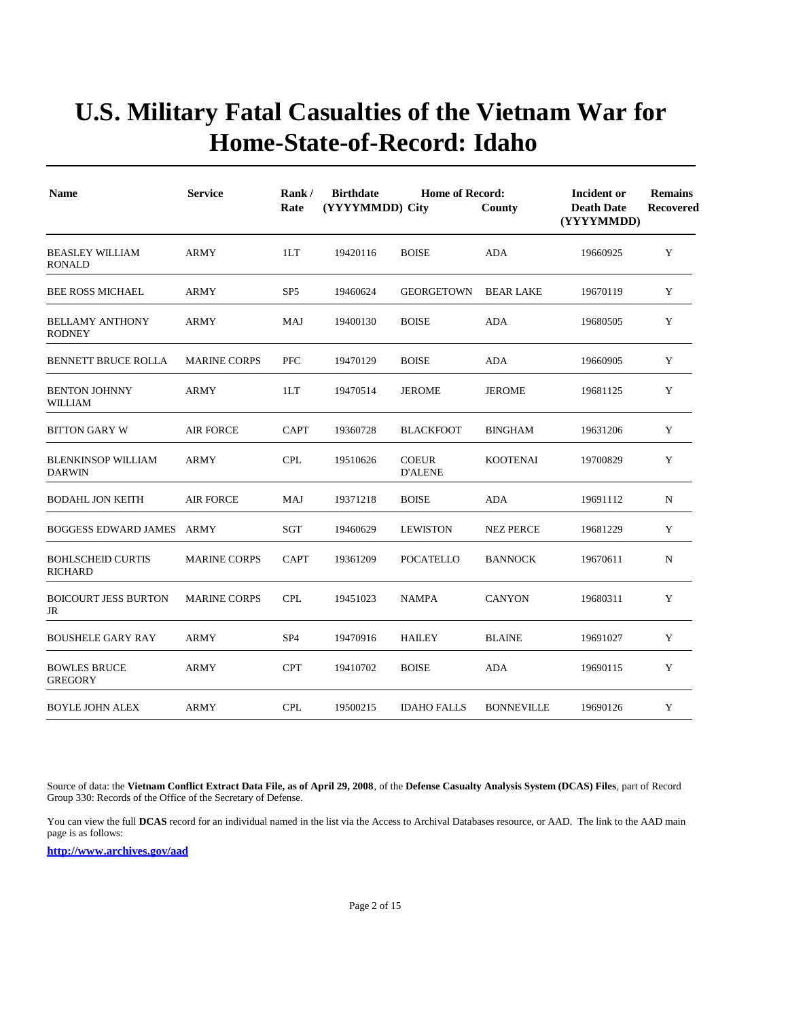| <b>Name</b>                                | <b>Service</b>      | Rank/<br>Rate   | <b>Birthdate</b><br><b>Home of Record:</b><br>(YYYYMMDD) City<br>County |                                |                   | Incident or<br><b>Death Date</b><br>(YYYYMMDD) | <b>Remains</b><br><b>Recovered</b> |
|--------------------------------------------|---------------------|-----------------|-------------------------------------------------------------------------|--------------------------------|-------------------|------------------------------------------------|------------------------------------|
| <b>BEASLEY WILLIAM</b><br><b>RONALD</b>    | <b>ARMY</b>         | 1LT             | 19420116                                                                | <b>BOISE</b>                   | <b>ADA</b>        | 19660925                                       | Y                                  |
| <b>BEE ROSS MICHAEL</b>                    | <b>ARMY</b>         | SP <sub>5</sub> | 19460624                                                                | <b>GEORGETOWN</b>              | <b>BEAR LAKE</b>  | 19670119                                       | Y                                  |
| <b>BELLAMY ANTHONY</b><br><b>RODNEY</b>    | ARMY                | MAJ             | 19400130                                                                | <b>BOISE</b>                   | ADA               | 19680505                                       | Y                                  |
| <b>BENNETT BRUCE ROLLA</b>                 | <b>MARINE CORPS</b> | <b>PFC</b>      | 19470129                                                                | <b>BOISE</b>                   | <b>ADA</b>        | 19660905                                       | Y                                  |
| <b>BENTON JOHNNY</b><br>WILLIAM            | <b>ARMY</b>         | 1LT             | 19470514                                                                | <b>JEROME</b>                  | <b>JEROME</b>     | 19681125                                       | Y                                  |
| <b>BITTON GARY W</b>                       | <b>AIR FORCE</b>    | <b>CAPT</b>     | 19360728                                                                | <b>BLACKFOOT</b>               | <b>BINGHAM</b>    | 19631206                                       | Y                                  |
| <b>BLENKINSOP WILLIAM</b><br><b>DARWIN</b> | <b>ARMY</b>         | <b>CPL</b>      | 19510626                                                                | <b>COEUR</b><br><b>D'ALENE</b> | <b>KOOTENAI</b>   | 19700829                                       | Y                                  |
| <b>BODAHL JON KEITH</b>                    | <b>AIR FORCE</b>    | <b>MAJ</b>      | 19371218                                                                | <b>BOISE</b>                   | <b>ADA</b>        | 19691112                                       | $\mathbf N$                        |
| <b>BOGGESS EDWARD JAMES ARMY</b>           |                     | <b>SGT</b>      | 19460629                                                                | <b>LEWISTON</b>                | <b>NEZ PERCE</b>  | 19681229                                       | Y                                  |
| <b>BOHLSCHEID CURTIS</b><br><b>RICHARD</b> | <b>MARINE CORPS</b> | <b>CAPT</b>     | 19361209                                                                | <b>POCATELLO</b>               | <b>BANNOCK</b>    | 19670611                                       | ${\bf N}$                          |
| <b>BOICOURT JESS BURTON</b><br>JR          | <b>MARINE CORPS</b> | <b>CPL</b>      | 19451023                                                                | <b>NAMPA</b>                   | <b>CANYON</b>     | 19680311                                       | Y                                  |
| <b>BOUSHELE GARY RAY</b>                   | <b>ARMY</b>         | SP <sub>4</sub> | 19470916                                                                | <b>HAILEY</b>                  | <b>BLAINE</b>     | 19691027                                       | Y                                  |
| <b>BOWLES BRUCE</b><br><b>GREGORY</b>      | <b>ARMY</b>         | <b>CPT</b>      | 19410702                                                                | <b>BOISE</b>                   | <b>ADA</b>        | 19690115                                       | Y                                  |
| <b>BOYLE JOHN ALEX</b>                     | <b>ARMY</b>         | <b>CPL</b>      | 19500215                                                                | <b>IDAHO FALLS</b>             | <b>BONNEVILLE</b> | 19690126                                       | Y                                  |

Source of data: the **Vietnam Conflict Extract Data File, as of April 29, 2008**, of the **Defense Casualty Analysis System (DCAS) Files**, part of Record Group 330: Records of the Office of the Secretary of Defense.

You can view the full **DCAS** record for an individual named in the list via the Access to Archival Databases resource, or AAD. The link to the AAD main page is as follows: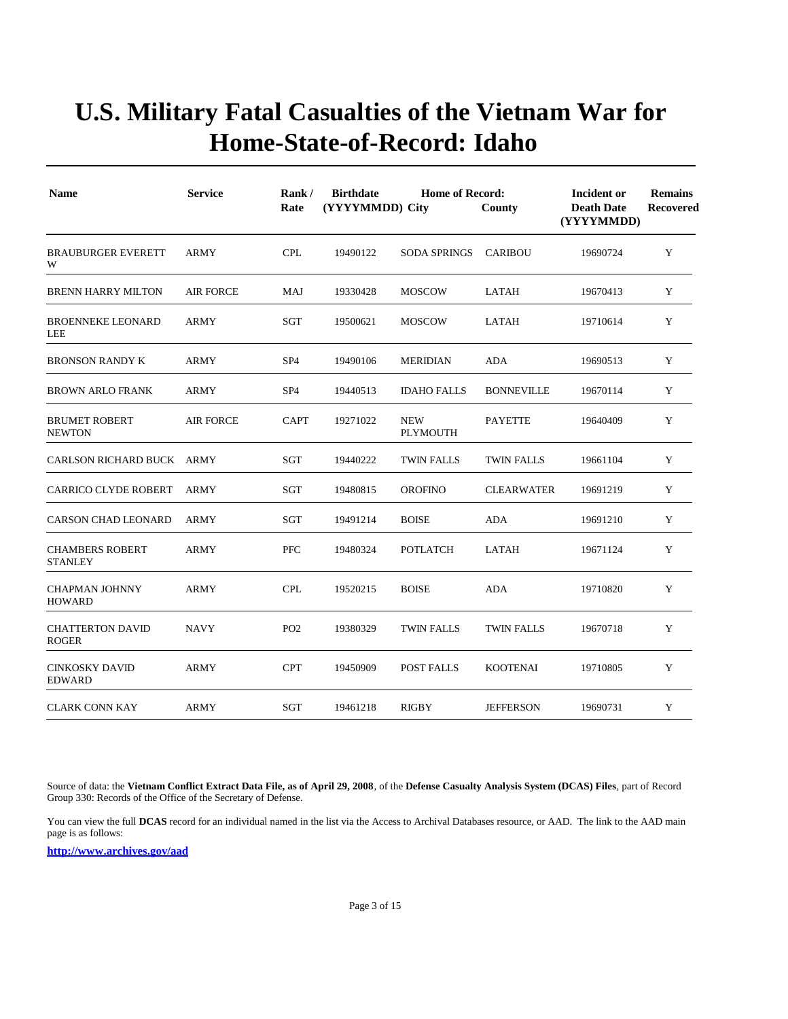| <b>Name</b>                              | <b>Service</b>   | Rank/<br>Rate   | <b>Birthdate</b><br><b>Home of Record:</b><br>(YYYYMMDD) City<br>County |                        |                   | Incident or<br><b>Death Date</b><br>(YYYYMMDD) | <b>Remains</b><br><b>Recovered</b> |
|------------------------------------------|------------------|-----------------|-------------------------------------------------------------------------|------------------------|-------------------|------------------------------------------------|------------------------------------|
| <b>BRAUBURGER EVERETT</b><br>W           | <b>ARMY</b>      | <b>CPL</b>      | 19490122                                                                | <b>SODA SPRINGS</b>    | <b>CARIBOU</b>    | 19690724                                       | Y                                  |
| <b>BRENN HARRY MILTON</b>                | <b>AIR FORCE</b> | MAJ             | 19330428                                                                | <b>MOSCOW</b>          | LATAH             | 19670413                                       | Y                                  |
| <b>BROENNEKE LEONARD</b><br>LEE          | <b>ARMY</b>      | SGT             | 19500621                                                                | <b>MOSCOW</b>          | <b>LATAH</b>      | 19710614                                       | Y                                  |
| <b>BRONSON RANDY K</b>                   | <b>ARMY</b>      | SP <sub>4</sub> | 19490106                                                                | <b>MERIDIAN</b>        | <b>ADA</b>        | 19690513                                       | Y                                  |
| <b>BROWN ARLO FRANK</b>                  | <b>ARMY</b>      | SP <sub>4</sub> | 19440513                                                                | <b>IDAHO FALLS</b>     | <b>BONNEVILLE</b> | 19670114                                       | Y                                  |
| <b>BRUMET ROBERT</b><br><b>NEWTON</b>    | <b>AIR FORCE</b> | <b>CAPT</b>     | 19271022                                                                | <b>NEW</b><br>PLYMOUTH | <b>PAYETTE</b>    | 19640409                                       | Y                                  |
| CARLSON RICHARD BUCK ARMY                |                  | SGT             | 19440222                                                                | <b>TWIN FALLS</b>      | <b>TWIN FALLS</b> | 19661104                                       | Y                                  |
| <b>CARRICO CLYDE ROBERT</b>              | <b>ARMY</b>      | SGT             | 19480815                                                                | <b>OROFINO</b>         | <b>CLEARWATER</b> | 19691219                                       | Y                                  |
| <b>CARSON CHAD LEONARD</b>               | <b>ARMY</b>      | <b>SGT</b>      | 19491214                                                                | <b>BOISE</b>           | <b>ADA</b>        | 19691210                                       | Y                                  |
| <b>CHAMBERS ROBERT</b><br><b>STANLEY</b> | ARMY             | <b>PFC</b>      | 19480324                                                                | <b>POTLATCH</b>        | LATAH             | 19671124                                       | Y                                  |
| <b>CHAPMAN JOHNNY</b><br>HOWARD          | <b>ARMY</b>      | <b>CPL</b>      | 19520215                                                                | <b>BOISE</b>           | <b>ADA</b>        | 19710820                                       | Y                                  |
| <b>CHATTERTON DAVID</b><br><b>ROGER</b>  | <b>NAVY</b>      | PO <sub>2</sub> | 19380329                                                                | <b>TWIN FALLS</b>      | <b>TWIN FALLS</b> | 19670718                                       | Y                                  |
| <b>CINKOSKY DAVID</b><br><b>EDWARD</b>   | ARMY             | <b>CPT</b>      | 19450909                                                                | POST FALLS             | <b>KOOTENAI</b>   | 19710805                                       | Y                                  |
| <b>CLARK CONN KAY</b>                    | <b>ARMY</b>      | SGT             | 19461218                                                                | <b>RIGBY</b>           | <b>JEFFERSON</b>  | 19690731                                       | Y                                  |

Source of data: the **Vietnam Conflict Extract Data File, as of April 29, 2008**, of the **Defense Casualty Analysis System (DCAS) Files**, part of Record Group 330: Records of the Office of the Secretary of Defense.

You can view the full **DCAS** record for an individual named in the list via the Access to Archival Databases resource, or AAD. The link to the AAD main page is as follows: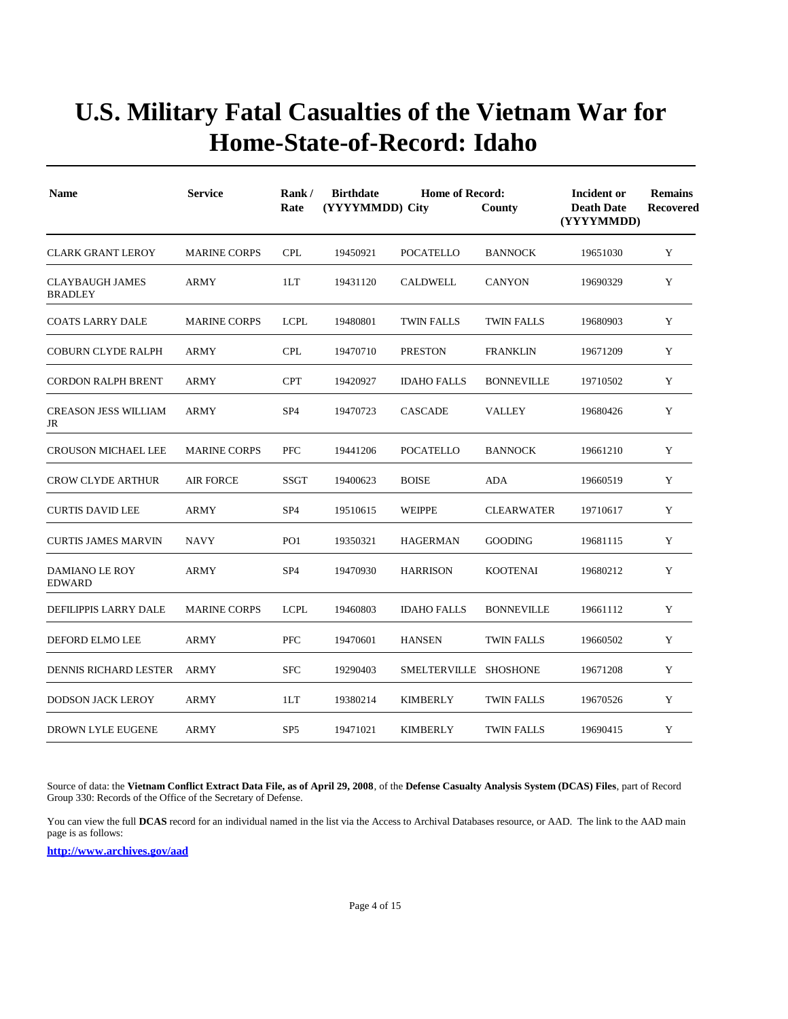| <b>Name</b>                              | <b>Service</b>      | Rank/<br>Rate   | <b>Birthdate</b><br>(YYYYMMDD) City | Incident or<br><b>Death Date</b><br>(YYYYMMDD) | <b>Remains</b><br>Recovered |          |   |
|------------------------------------------|---------------------|-----------------|-------------------------------------|------------------------------------------------|-----------------------------|----------|---|
| <b>CLARK GRANT LEROY</b>                 | <b>MARINE CORPS</b> | <b>CPL</b>      | 19450921                            | <b>POCATELLO</b>                               | <b>BANNOCK</b>              | 19651030 | Y |
| <b>CLAYBAUGH JAMES</b><br><b>BRADLEY</b> | <b>ARMY</b>         | 1LT             | 19431120                            | <b>CALDWELL</b>                                | <b>CANYON</b>               | 19690329 | Y |
| <b>COATS LARRY DALE</b>                  | <b>MARINE CORPS</b> | <b>LCPL</b>     | 19480801                            | <b>TWIN FALLS</b>                              | <b>TWIN FALLS</b>           | 19680903 | Y |
| <b>COBURN CLYDE RALPH</b>                | ARMY                | <b>CPL</b>      | 19470710                            | <b>PRESTON</b>                                 | <b>FRANKLIN</b>             | 19671209 | Y |
| <b>CORDON RALPH BRENT</b>                | ARMY                | <b>CPT</b>      | 19420927                            | <b>IDAHO FALLS</b>                             | <b>BONNEVILLE</b>           | 19710502 | Y |
| <b>CREASON JESS WILLIAM</b><br>JR        | <b>ARMY</b>         | SP <sub>4</sub> | 19470723                            | <b>CASCADE</b>                                 | <b>VALLEY</b>               | 19680426 | Y |
| <b>CROUSON MICHAEL LEE</b>               | <b>MARINE CORPS</b> | PFC             | 19441206                            | <b>POCATELLO</b>                               | <b>BANNOCK</b>              | 19661210 | Y |
| <b>CROW CLYDE ARTHUR</b>                 | <b>AIR FORCE</b>    | <b>SSGT</b>     | 19400623                            | $\operatorname{BOISE}$                         | ADA                         | 19660519 | Y |
| <b>CURTIS DAVID LEE</b>                  | <b>ARMY</b>         | SP <sub>4</sub> | 19510615                            | <b>WEIPPE</b>                                  | <b>CLEARWATER</b>           | 19710617 | Y |
| <b>CURTIS JAMES MARVIN</b>               | <b>NAVY</b>         | PO <sub>1</sub> | 19350321                            | <b>HAGERMAN</b>                                | <b>GOODING</b>              | 19681115 | Y |
| <b>DAMIANO LE ROY</b><br><b>EDWARD</b>   | <b>ARMY</b>         | SP <sub>4</sub> | 19470930                            | <b>HARRISON</b>                                | <b>KOOTENAI</b>             | 19680212 | Y |
| DEFILIPPIS LARRY DALE                    | <b>MARINE CORPS</b> | <b>LCPL</b>     | 19460803                            | <b>IDAHO FALLS</b>                             | <b>BONNEVILLE</b>           | 19661112 | Y |
| DEFORD ELMO LEE                          | ARMY                | <b>PFC</b>      | 19470601                            | <b>HANSEN</b>                                  | TWIN FALLS                  | 19660502 | Y |
| <b>DENNIS RICHARD LESTER</b>             | <b>ARMY</b>         | <b>SFC</b>      | 19290403                            | SMELTERVILLE SHOSHONE                          |                             | 19671208 | Y |
| <b>DODSON JACK LEROY</b>                 | <b>ARMY</b>         | 1LT             | 19380214                            | <b>KIMBERLY</b>                                | <b>TWIN FALLS</b>           | 19670526 | Y |
| <b>DROWN LYLE EUGENE</b>                 | <b>ARMY</b>         | SP <sub>5</sub> | 19471021                            | <b>KIMBERLY</b>                                | <b>TWIN FALLS</b>           | 19690415 | Y |

Source of data: the **Vietnam Conflict Extract Data File, as of April 29, 2008**, of the **Defense Casualty Analysis System (DCAS) Files**, part of Record Group 330: Records of the Office of the Secretary of Defense.

You can view the full **DCAS** record for an individual named in the list via the Access to Archival Databases resource, or AAD. The link to the AAD main page is as follows: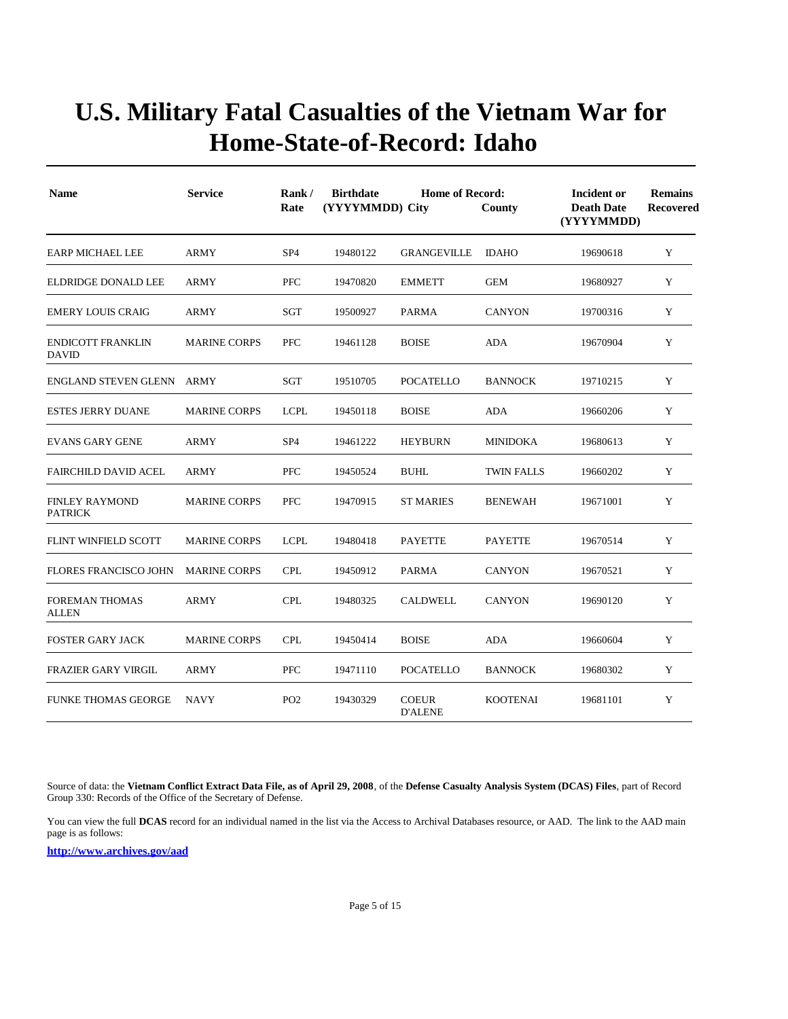| <b>Name</b>                              | <b>Service</b>      | Rank/<br>Rate   | <b>Birthdate</b><br>(YYYYMMDD) City | <b>Home of Record:</b>         | County            | Incident or<br><b>Death Date</b><br>(YYYYMMDD) | <b>Remains</b><br><b>Recovered</b> |
|------------------------------------------|---------------------|-----------------|-------------------------------------|--------------------------------|-------------------|------------------------------------------------|------------------------------------|
| <b>EARP MICHAEL LEE</b>                  | <b>ARMY</b>         | SP <sub>4</sub> | 19480122                            | <b>GRANGEVILLE</b>             | <b>IDAHO</b>      | 19690618                                       | Y                                  |
| <b>ELDRIDGE DONALD LEE</b>               | <b>ARMY</b>         | <b>PFC</b>      | 19470820                            | <b>EMMETT</b>                  | <b>GEM</b>        | 19680927                                       | Y                                  |
| <b>EMERY LOUIS CRAIG</b>                 | <b>ARMY</b>         | <b>SGT</b>      | 19500927                            | <b>PARMA</b>                   | <b>CANYON</b>     | 19700316                                       | Y                                  |
| <b>ENDICOTT FRANKLIN</b><br><b>DAVID</b> | <b>MARINE CORPS</b> | <b>PFC</b>      | 19461128                            | <b>BOISE</b>                   | <b>ADA</b>        | 19670904                                       | Y                                  |
| <b>ENGLAND STEVEN GLENN</b>              | ARMY                | <b>SGT</b>      | 19510705                            | <b>POCATELLO</b>               | <b>BANNOCK</b>    | 19710215                                       | Y                                  |
| <b>ESTES JERRY DUANE</b>                 | <b>MARINE CORPS</b> | <b>LCPL</b>     | 19450118                            | <b>BOISE</b>                   | <b>ADA</b>        | 19660206                                       | Y                                  |
| <b>EVANS GARY GENE</b>                   | <b>ARMY</b>         | SP <sub>4</sub> | 19461222                            | <b>HEYBURN</b>                 | <b>MINIDOKA</b>   | 19680613                                       | Y                                  |
| <b>FAIRCHILD DAVID ACEL</b>              | <b>ARMY</b>         | <b>PFC</b>      | 19450524                            | <b>BUHL</b>                    | <b>TWIN FALLS</b> | 19660202                                       | Y                                  |
| <b>FINLEY RAYMOND</b><br><b>PATRICK</b>  | <b>MARINE CORPS</b> | <b>PFC</b>      | 19470915                            | <b>ST MARIES</b>               | <b>BENEWAH</b>    | 19671001                                       | Y                                  |
| <b>FLINT WINFIELD SCOTT</b>              | <b>MARINE CORPS</b> | <b>LCPL</b>     | 19480418                            | <b>PAYETTE</b>                 | <b>PAYETTE</b>    | 19670514                                       | Y                                  |
| <b>FLORES FRANCISCO JOHN</b>             | <b>MARINE CORPS</b> | <b>CPL</b>      | 19450912                            | PARMA                          | <b>CANYON</b>     | 19670521                                       | Y                                  |
| <b>FOREMAN THOMAS</b><br><b>ALLEN</b>    | <b>ARMY</b>         | <b>CPL</b>      | 19480325                            | CALDWELL                       | <b>CANYON</b>     | 19690120                                       | Y                                  |
| <b>FOSTER GARY JACK</b>                  | <b>MARINE CORPS</b> | <b>CPL</b>      | 19450414                            | <b>BOISE</b>                   | <b>ADA</b>        | 19660604                                       | Y                                  |
| <b>FRAZIER GARY VIRGIL</b>               | <b>ARMY</b>         | <b>PFC</b>      | 19471110                            | <b>POCATELLO</b>               | <b>BANNOCK</b>    | 19680302                                       | Y                                  |
| <b>FUNKE THOMAS GEORGE</b>               | <b>NAVY</b>         | PO <sub>2</sub> | 19430329                            | <b>COEUR</b><br><b>D'ALENE</b> | <b>KOOTENAI</b>   | 19681101                                       | Y                                  |

Source of data: the **Vietnam Conflict Extract Data File, as of April 29, 2008**, of the **Defense Casualty Analysis System (DCAS) Files**, part of Record Group 330: Records of the Office of the Secretary of Defense.

You can view the full **DCAS** record for an individual named in the list via the Access to Archival Databases resource, or AAD. The link to the AAD main page is as follows: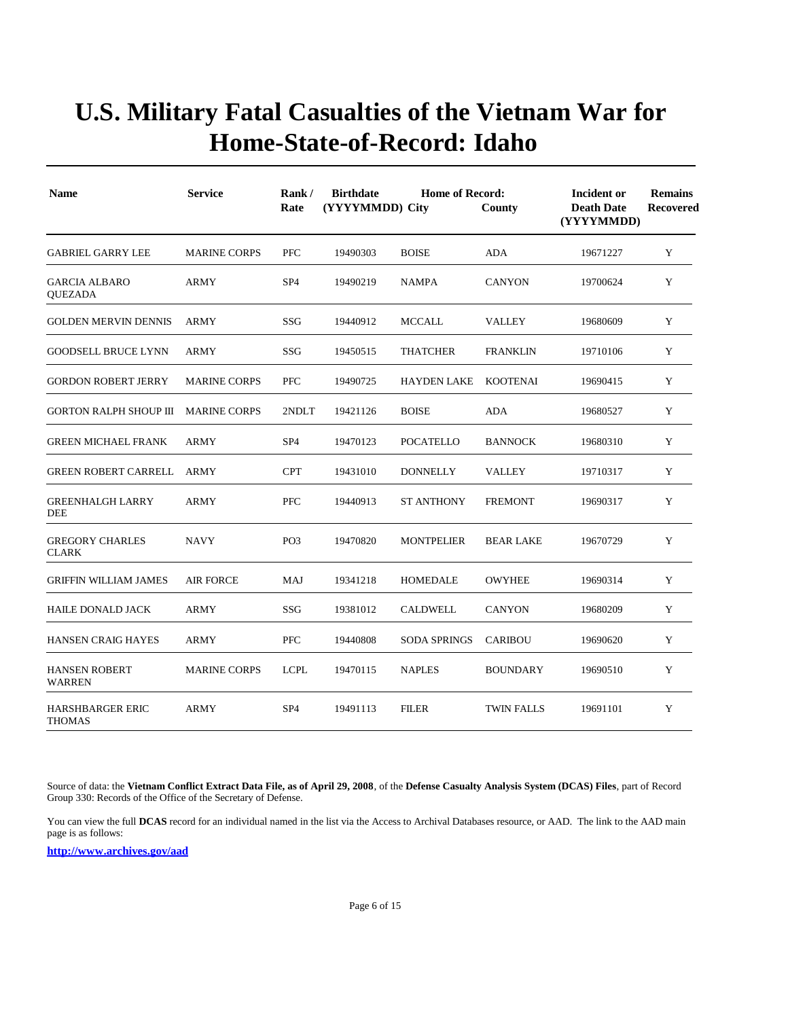| <b>Name</b>                              | <b>Service</b>      | Rank/<br>Rate   | <b>Birthdate</b><br>(YYYYMMDD) City | <b>Incident or</b><br><b>Death Date</b><br>(YYYYMMDD) | <b>Remains</b><br>Recovered |          |   |
|------------------------------------------|---------------------|-----------------|-------------------------------------|-------------------------------------------------------|-----------------------------|----------|---|
| <b>GABRIEL GARRY LEE</b>                 | <b>MARINE CORPS</b> | PFC             | 19490303                            | <b>BOISE</b>                                          | ADA                         | 19671227 | Y |
| <b>GARCIA ALBARO</b><br><b>QUEZADA</b>   | <b>ARMY</b>         | SP <sub>4</sub> | 19490219                            | <b>NAMPA</b>                                          | <b>CANYON</b>               | 19700624 | Y |
| <b>GOLDEN MERVIN DENNIS</b>              | ARMY                | SSG             | 19440912                            | <b>MCCALL</b>                                         | <b>VALLEY</b>               | 19680609 | Y |
| <b>GOODSELL BRUCE LYNN</b>               | ARMY                | SSG             | 19450515                            | <b>THATCHER</b>                                       | FRANKLIN                    | 19710106 | Y |
| <b>GORDON ROBERT JERRY</b>               | <b>MARINE CORPS</b> | <b>PFC</b>      | 19490725                            | <b>HAYDEN LAKE</b>                                    | <b>KOOTENAI</b>             | 19690415 | Y |
| <b>GORTON RALPH SHOUP III</b>            | <b>MARINE CORPS</b> | 2NDLT           | 19421126                            | <b>BOISE</b>                                          | ADA                         | 19680527 | Y |
| <b>GREEN MICHAEL FRANK</b>               | <b>ARMY</b>         | SP <sub>4</sub> | 19470123                            | <b>POCATELLO</b>                                      | <b>BANNOCK</b>              | 19680310 | Y |
| <b>GREEN ROBERT CARRELL</b>              | ARMY                | <b>CPT</b>      | 19431010                            | <b>DONNELLY</b>                                       | <b>VALLEY</b>               | 19710317 | Y |
| <b>GREENHALGH LARRY</b><br><b>DEE</b>    | <b>ARMY</b>         | <b>PFC</b>      | 19440913                            | <b>ST ANTHONY</b>                                     | <b>FREMONT</b>              | 19690317 | Y |
| <b>GREGORY CHARLES</b><br><b>CLARK</b>   | <b>NAVY</b>         | PO <sub>3</sub> | 19470820                            | <b>MONTPELIER</b>                                     | <b>BEAR LAKE</b>            | 19670729 | Y |
| <b>GRIFFIN WILLIAM JAMES</b>             | AIR FORCE           | MAJ             | 19341218                            | <b>HOMEDALE</b>                                       | <b>OWYHEE</b>               | 19690314 | Y |
| <b>HAILE DONALD JACK</b>                 | <b>ARMY</b>         | <b>SSG</b>      | 19381012                            | <b>CALDWELL</b>                                       | <b>CANYON</b>               | 19680209 | Y |
| HANSEN CRAIG HAYES                       | <b>ARMY</b>         | <b>PFC</b>      | 19440808                            | <b>SODA SPRINGS</b>                                   | <b>CARIBOU</b>              | 19690620 | Y |
| <b>HANSEN ROBERT</b><br><b>WARREN</b>    | <b>MARINE CORPS</b> | <b>LCPL</b>     | 19470115                            | <b>NAPLES</b>                                         | <b>BOUNDARY</b>             | 19690510 | Y |
| <b>HARSHBARGER ERIC</b><br><b>THOMAS</b> | <b>ARMY</b>         | SP <sub>4</sub> | 19491113                            | <b>FILER</b>                                          | <b>TWIN FALLS</b>           | 19691101 | Y |

Source of data: the **Vietnam Conflict Extract Data File, as of April 29, 2008**, of the **Defense Casualty Analysis System (DCAS) Files**, part of Record Group 330: Records of the Office of the Secretary of Defense.

You can view the full **DCAS** record for an individual named in the list via the Access to Archival Databases resource, or AAD. The link to the AAD main page is as follows: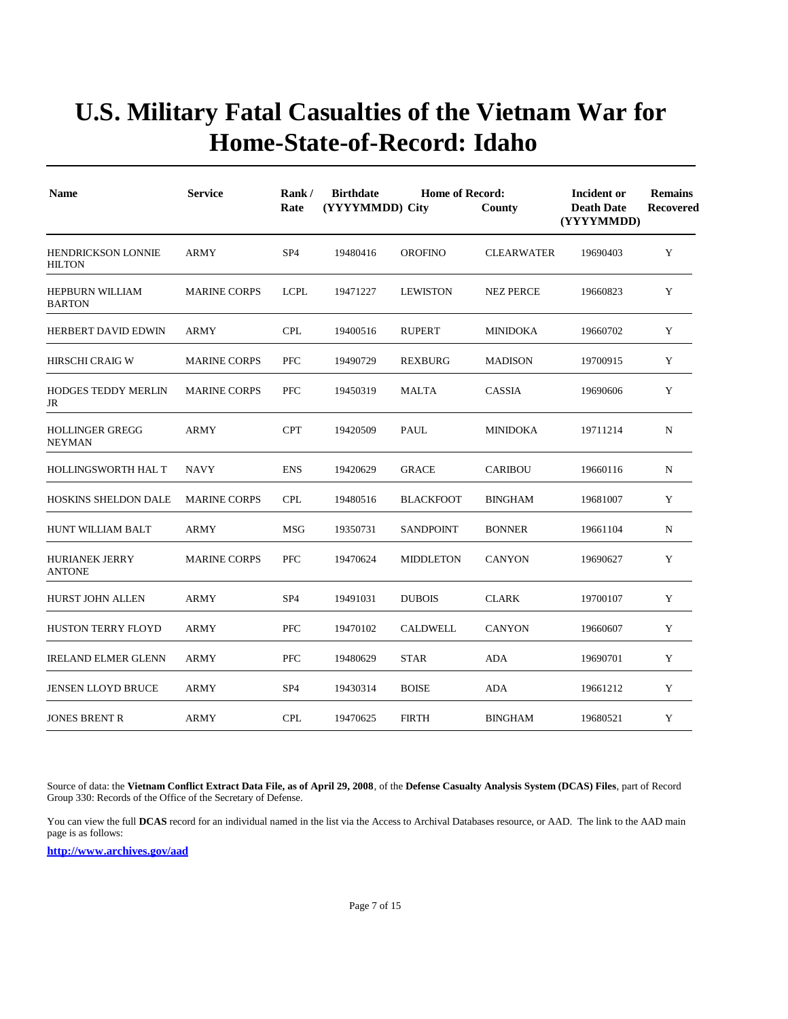| <b>Name</b>                                | <b>Service</b>      | Rank/<br>Rate   | <b>Birthdate</b><br>(YYYYMMDD) City | <b>Home of Record:</b> | County            | Incident or<br><b>Death Date</b><br>(YYYYMMDD) | <b>Remains</b><br><b>Recovered</b> |
|--------------------------------------------|---------------------|-----------------|-------------------------------------|------------------------|-------------------|------------------------------------------------|------------------------------------|
| <b>HENDRICKSON LONNIE</b><br><b>HILTON</b> | <b>ARMY</b>         | SP <sub>4</sub> | 19480416                            | <b>OROFINO</b>         | <b>CLEARWATER</b> | 19690403                                       | Y                                  |
| <b>HEPBURN WILLIAM</b><br><b>BARTON</b>    | <b>MARINE CORPS</b> | <b>LCPL</b>     | 19471227                            | <b>LEWISTON</b>        | <b>NEZ PERCE</b>  | 19660823                                       | Y                                  |
| <b>HERBERT DAVID EDWIN</b>                 | <b>ARMY</b>         | <b>CPL</b>      | 19400516                            | <b>RUPERT</b>          | <b>MINIDOKA</b>   | 19660702                                       | Y                                  |
| <b>HIRSCHI CRAIG W</b>                     | <b>MARINE CORPS</b> | <b>PFC</b>      | 19490729                            | <b>REXBURG</b>         | <b>MADISON</b>    | 19700915                                       | Y                                  |
| <b>HODGES TEDDY MERLIN</b><br>JR           | <b>MARINE CORPS</b> | <b>PFC</b>      | 19450319                            | <b>MALTA</b>           | <b>CASSIA</b>     | 19690606                                       | Y                                  |
| <b>HOLLINGER GREGG</b><br><b>NEYMAN</b>    | <b>ARMY</b>         | <b>CPT</b>      | 19420509                            | <b>PAUL</b>            | <b>MINIDOKA</b>   | 19711214                                       | $\mathbf N$                        |
| HOLLINGSWORTH HAL T                        | <b>NAVY</b>         | <b>ENS</b>      | 19420629                            | <b>GRACE</b>           | <b>CARIBOU</b>    | 19660116                                       | N                                  |
| <b>HOSKINS SHELDON DALE</b>                | <b>MARINE CORPS</b> | <b>CPL</b>      | 19480516                            | <b>BLACKFOOT</b>       | <b>BINGHAM</b>    | 19681007                                       | Y                                  |
| HUNT WILLIAM BALT                          | <b>ARMY</b>         | MSG             | 19350731                            | <b>SANDPOINT</b>       | <b>BONNER</b>     | 19661104                                       | N                                  |
| <b>HURIANEK JERRY</b><br><b>ANTONE</b>     | <b>MARINE CORPS</b> | <b>PFC</b>      | 19470624                            | <b>MIDDLETON</b>       | <b>CANYON</b>     | 19690627                                       | Y                                  |
| <b>HURST JOHN ALLEN</b>                    | <b>ARMY</b>         | SP <sub>4</sub> | 19491031                            | <b>DUBOIS</b>          | <b>CLARK</b>      | 19700107                                       | Y                                  |
| <b>HUSTON TERRY FLOYD</b>                  | ARMY                | PFC             | 19470102                            | <b>CALDWELL</b>        | <b>CANYON</b>     | 19660607                                       | Y                                  |
| <b>IRELAND ELMER GLENN</b>                 | ARMY                | PFC             | 19480629                            | <b>STAR</b>            | <b>ADA</b>        | 19690701                                       | Y                                  |
| <b>JENSEN LLOYD BRUCE</b>                  | ARMY                | SP <sub>4</sub> | 19430314                            | <b>BOISE</b>           | <b>ADA</b>        | 19661212                                       | Y                                  |
| <b>JONES BRENT R</b>                       | <b>ARMY</b>         | <b>CPL</b>      | 19470625                            | <b>FIRTH</b>           | <b>BINGHAM</b>    | 19680521                                       | Y                                  |

Source of data: the **Vietnam Conflict Extract Data File, as of April 29, 2008**, of the **Defense Casualty Analysis System (DCAS) Files**, part of Record Group 330: Records of the Office of the Secretary of Defense.

You can view the full **DCAS** record for an individual named in the list via the Access to Archival Databases resource, or AAD. The link to the AAD main page is as follows: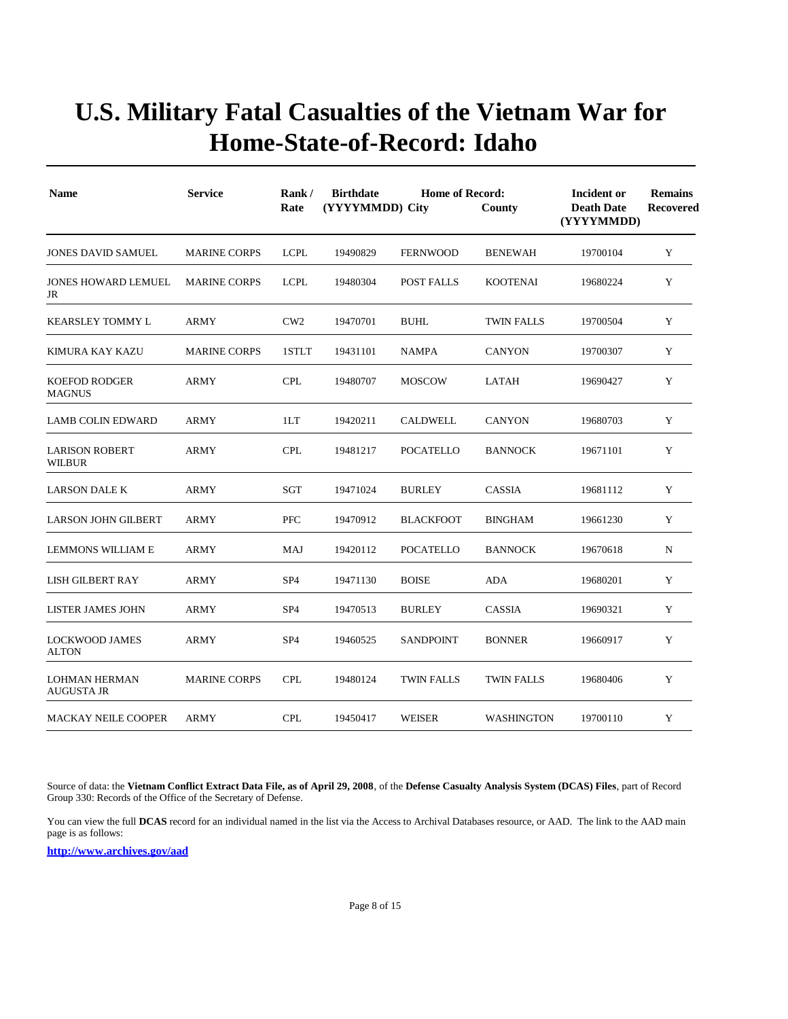| <b>Name</b>                               | <b>Service</b>      | Rank/<br>Rate   | <b>Birthdate</b><br>(YYYYMMDD) City | Incident or<br><b>Death Date</b><br>(YYYYMMDD) | <b>Remains</b><br>Recovered |          |   |
|-------------------------------------------|---------------------|-----------------|-------------------------------------|------------------------------------------------|-----------------------------|----------|---|
| <b>JONES DAVID SAMUEL</b>                 | <b>MARINE CORPS</b> | <b>LCPL</b>     | 19490829                            | <b>FERNWOOD</b>                                | <b>BENEWAH</b>              | 19700104 | Y |
| <b>JONES HOWARD LEMUEL</b><br>JR          | <b>MARINE CORPS</b> | <b>LCPL</b>     | 19480304                            | POST FALLS                                     | <b>KOOTENAI</b>             | 19680224 | Y |
| <b>KEARSLEY TOMMY L</b>                   | <b>ARMY</b>         | CW2             | 19470701                            | <b>BUHL</b>                                    | <b>TWIN FALLS</b>           | 19700504 | Y |
| KIMURA KAY KAZU                           | <b>MARINE CORPS</b> | 1STLT           | 19431101                            | <b>NAMPA</b>                                   | <b>CANYON</b>               | 19700307 | Y |
| <b>KOEFOD RODGER</b><br><b>MAGNUS</b>     | <b>ARMY</b>         | <b>CPL</b>      | 19480707                            | <b>MOSCOW</b>                                  | <b>LATAH</b>                | 19690427 | Y |
| <b>LAMB COLIN EDWARD</b>                  | ARMY                | 1LT             | 19420211                            | CALDWELL                                       | <b>CANYON</b>               | 19680703 | Y |
| <b>LARISON ROBERT</b><br><b>WILBUR</b>    | <b>ARMY</b>         | <b>CPL</b>      | 19481217                            | <b>POCATELLO</b>                               | <b>BANNOCK</b>              | 19671101 | Y |
| <b>LARSON DALE K</b>                      | <b>ARMY</b>         | <b>SGT</b>      | 19471024                            | <b>BURLEY</b>                                  | <b>CASSIA</b>               | 19681112 | Y |
| <b>LARSON JOHN GILBERT</b>                | <b>ARMY</b>         | <b>PFC</b>      | 19470912                            | <b>BLACKFOOT</b>                               | <b>BINGHAM</b>              | 19661230 | Y |
| <b>LEMMONS WILLIAM E</b>                  | <b>ARMY</b>         | MAJ             | 19420112                            | <b>POCATELLO</b>                               | <b>BANNOCK</b>              | 19670618 | N |
| <b>LISH GILBERT RAY</b>                   | <b>ARMY</b>         | SP <sub>4</sub> | 19471130                            | <b>BOISE</b>                                   | <b>ADA</b>                  | 19680201 | Y |
| <b>LISTER JAMES JOHN</b>                  | <b>ARMY</b>         | SP <sub>4</sub> | 19470513                            | <b>BURLEY</b>                                  | CASSIA                      | 19690321 | Y |
| <b>LOCKWOOD JAMES</b><br><b>ALTON</b>     | <b>ARMY</b>         | SP <sub>4</sub> | 19460525                            | <b>SANDPOINT</b>                               | <b>BONNER</b>               | 19660917 | Y |
| <b>LOHMAN HERMAN</b><br><b>AUGUSTA JR</b> | <b>MARINE CORPS</b> | <b>CPL</b>      | 19480124                            | <b>TWIN FALLS</b>                              | <b>TWIN FALLS</b>           | 19680406 | Y |
| <b>MACKAY NEILE COOPER</b>                | <b>ARMY</b>         | <b>CPL</b>      | 19450417                            | <b>WEISER</b>                                  | <b>WASHINGTON</b>           | 19700110 | Y |

Source of data: the **Vietnam Conflict Extract Data File, as of April 29, 2008**, of the **Defense Casualty Analysis System (DCAS) Files**, part of Record Group 330: Records of the Office of the Secretary of Defense.

You can view the full **DCAS** record for an individual named in the list via the Access to Archival Databases resource, or AAD. The link to the AAD main page is as follows: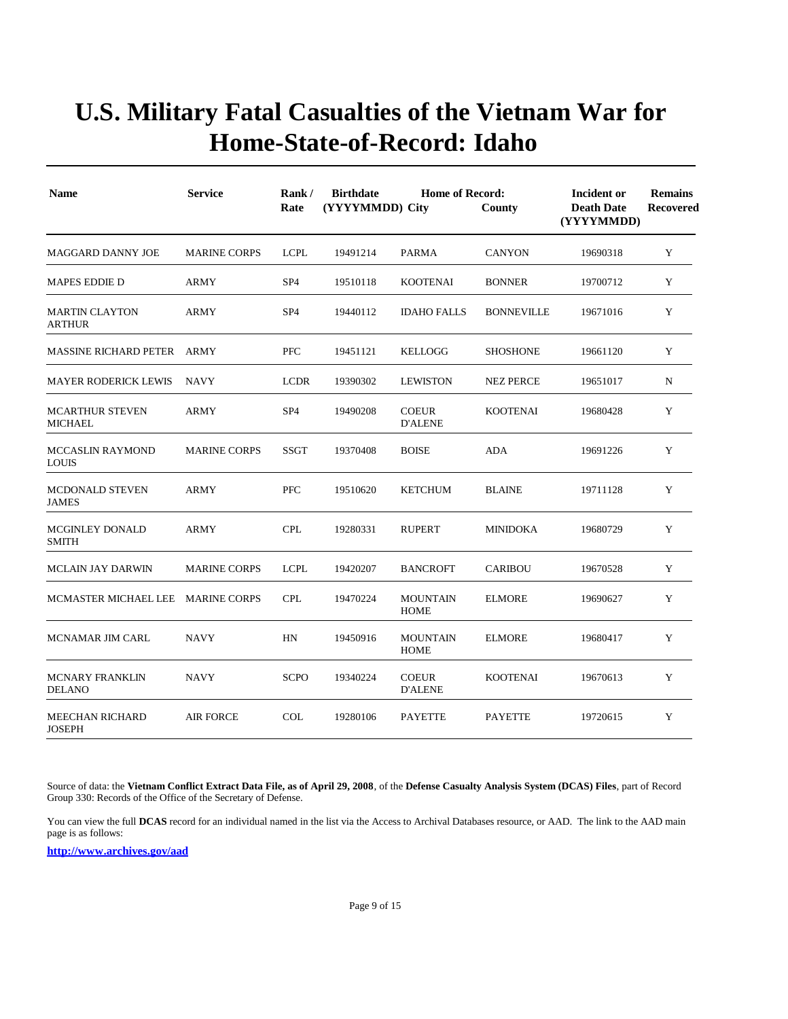| <b>Name</b>                             | <b>Service</b>      | Rank/<br>Rate   | <b>Birthdate</b><br>(YYYYMMDD) City | Incident or<br><b>Death Date</b><br>(YYYYMMDD) | <b>Remains</b><br>Recovered |          |   |
|-----------------------------------------|---------------------|-----------------|-------------------------------------|------------------------------------------------|-----------------------------|----------|---|
| MAGGARD DANNY JOE                       | <b>MARINE CORPS</b> | <b>LCPL</b>     | 19491214                            | PARMA                                          | <b>CANYON</b>               | 19690318 | Y |
| <b>MAPES EDDIE D</b>                    | <b>ARMY</b>         | SP <sub>4</sub> | 19510118                            | <b>KOOTENAI</b>                                | <b>BONNER</b>               | 19700712 | Y |
| <b>MARTIN CLAYTON</b><br><b>ARTHUR</b>  | <b>ARMY</b>         | SP <sub>4</sub> | 19440112                            | <b>IDAHO FALLS</b>                             | <b>BONNEVILLE</b>           | 19671016 | Y |
| MASSINE RICHARD PETER ARMY              |                     | PFC             | 19451121                            | <b>KELLOGG</b>                                 | <b>SHOSHONE</b>             | 19661120 | Y |
| <b>MAYER RODERICK LEWIS</b>             | NAVY                | <b>LCDR</b>     | 19390302                            | <b>LEWISTON</b>                                | <b>NEZ PERCE</b>            | 19651017 | N |
| <b>MCARTHUR STEVEN</b><br>MICHAEL       | ARMY                | SP <sub>4</sub> | 19490208                            | <b>COEUR</b><br><b>D'ALENE</b>                 | <b>KOOTENAI</b>             | 19680428 | Y |
| <b>MCCASLIN RAYMOND</b><br><b>LOUIS</b> | <b>MARINE CORPS</b> | SSGT            | 19370408                            | <b>BOISE</b>                                   | <b>ADA</b>                  | 19691226 | Y |
| MCDONALD STEVEN<br><b>JAMES</b>         | <b>ARMY</b>         | <b>PFC</b>      | 19510620                            | <b>KETCHUM</b>                                 | <b>BLAINE</b>               | 19711128 | Y |
| MCGINLEY DONALD<br><b>SMITH</b>         | ARMY                | <b>CPL</b>      | 19280331                            | <b>RUPERT</b>                                  | MINIDOKA                    | 19680729 | Y |
| <b>MCLAIN JAY DARWIN</b>                | <b>MARINE CORPS</b> | <b>LCPL</b>     | 19420207                            | <b>BANCROFT</b>                                | <b>CARIBOU</b>              | 19670528 | Y |
| MCMASTER MICHAEL LEE MARINE CORPS       |                     | <b>CPL</b>      | 19470224                            | <b>MOUNTAIN</b><br><b>HOME</b>                 | <b>ELMORE</b>               | 19690627 | Y |
| MCNAMAR JIM CARL                        | <b>NAVY</b>         | HN              | 19450916                            | <b>MOUNTAIN</b><br><b>HOME</b>                 | <b>ELMORE</b>               | 19680417 | Y |
| <b>MCNARY FRANKLIN</b><br><b>DELANO</b> | <b>NAVY</b>         | <b>SCPO</b>     | 19340224                            | <b>COEUR</b><br><b>D'ALENE</b>                 | <b>KOOTENAI</b>             | 19670613 | Y |
| MEECHAN RICHARD<br><b>JOSEPH</b>        | <b>AIR FORCE</b>    | <b>COL</b>      | 19280106                            | <b>PAYETTE</b>                                 | <b>PAYETTE</b>              | 19720615 | Y |

Source of data: the **Vietnam Conflict Extract Data File, as of April 29, 2008**, of the **Defense Casualty Analysis System (DCAS) Files**, part of Record Group 330: Records of the Office of the Secretary of Defense.

You can view the full **DCAS** record for an individual named in the list via the Access to Archival Databases resource, or AAD. The link to the AAD main page is as follows: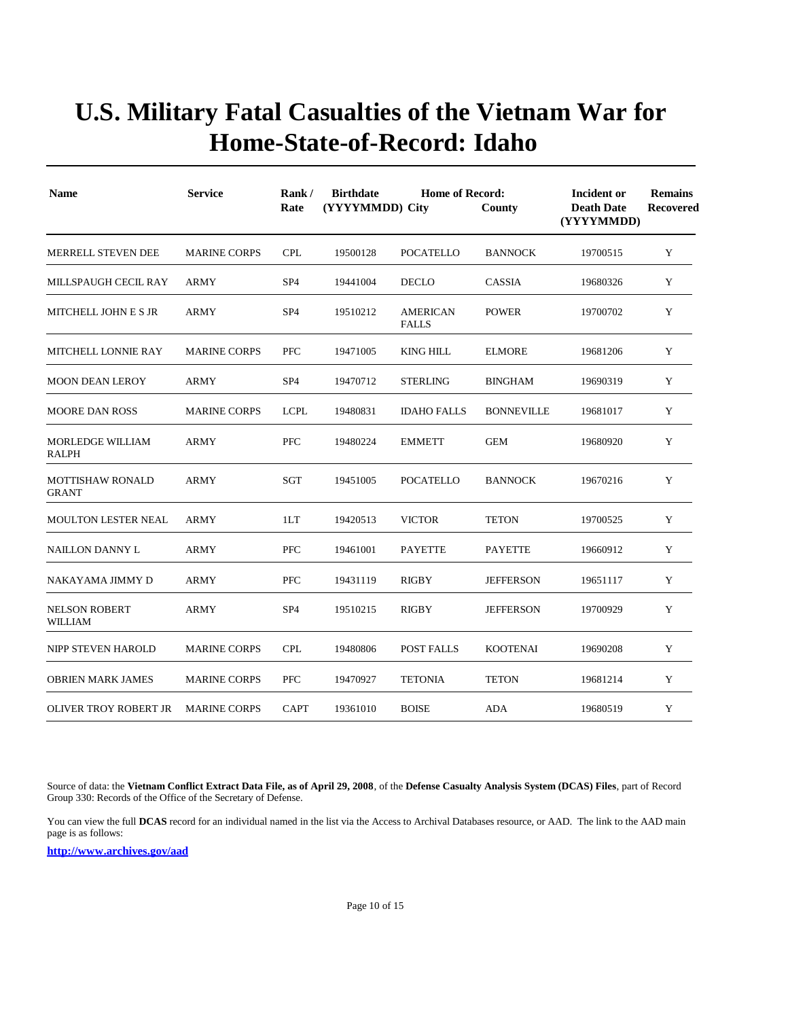| <b>Name</b>                             | <b>Service</b>      | Rank/<br>Rate   | <b>Birthdate</b><br>(YYYYMMDD) City | <b>Home of Record:</b>          | County            | Incident or<br><b>Death Date</b><br>(YYYYMMDD)<br>19700515 | <b>Remains</b><br><b>Recovered</b> |
|-----------------------------------------|---------------------|-----------------|-------------------------------------|---------------------------------|-------------------|------------------------------------------------------------|------------------------------------|
| <b>MERRELL STEVEN DEE</b>               | <b>MARINE CORPS</b> | <b>CPL</b>      | 19500128                            | <b>POCATELLO</b>                | <b>BANNOCK</b>    |                                                            | Y                                  |
| MILLSPAUGH CECIL RAY                    | <b>ARMY</b>         | SP <sub>4</sub> | 19441004                            | <b>DECLO</b>                    | CASSIA            | 19680326                                                   | Y                                  |
| <b>MITCHELL JOHN E S JR</b>             | <b>ARMY</b>         | SP <sub>4</sub> | 19510212                            | <b>AMERICAN</b><br><b>FALLS</b> | <b>POWER</b>      | 19700702                                                   | Y                                  |
| MITCHELL LONNIE RAY                     | <b>MARINE CORPS</b> | <b>PFC</b>      | 19471005                            | <b>KING HILL</b>                | <b>ELMORE</b>     | 19681206                                                   | Y                                  |
| <b>MOON DEAN LEROY</b>                  | <b>ARMY</b>         | SP <sub>4</sub> | 19470712                            | <b>STERLING</b>                 | <b>BINGHAM</b>    | 19690319                                                   | Y                                  |
| <b>MOORE DAN ROSS</b>                   | <b>MARINE CORPS</b> | <b>LCPL</b>     | 19480831                            | <b>IDAHO FALLS</b>              | <b>BONNEVILLE</b> | 19681017                                                   | Y                                  |
| <b>MORLEDGE WILLIAM</b><br>RALPH        | <b>ARMY</b>         | <b>PFC</b>      | 19480224                            | <b>EMMETT</b>                   | <b>GEM</b>        | 19680920                                                   | Y                                  |
| <b>MOTTISHAW RONALD</b><br><b>GRANT</b> | <b>ARMY</b>         | <b>SGT</b>      | 19451005                            | <b>POCATELLO</b>                | <b>BANNOCK</b>    | 19670216                                                   | Y                                  |
| <b>MOULTON LESTER NEAL</b>              | ARMY                | 1LT             | 19420513                            | <b>VICTOR</b>                   | <b>TETON</b>      | 19700525                                                   | Y                                  |
| NAILLON DANNY L                         | ARMY                | PFC             | 19461001                            | <b>PAYETTE</b>                  | PAYETTE           | 19660912                                                   | Y                                  |
| NAKAYAMA JIMMY D                        | <b>ARMY</b>         | PFC             | 19431119                            | <b>RIGBY</b>                    | <b>JEFFERSON</b>  | 19651117                                                   | Y                                  |
| <b>NELSON ROBERT</b><br>WILLIAM         | <b>ARMY</b>         | SP <sub>4</sub> | 19510215                            | <b>RIGBY</b>                    | <b>JEFFERSON</b>  | 19700929                                                   | Y                                  |
| NIPP STEVEN HAROLD                      | <b>MARINE CORPS</b> | <b>CPL</b>      | 19480806                            | POST FALLS                      | <b>KOOTENAI</b>   | 19690208                                                   | Y                                  |
| <b>OBRIEN MARK JAMES</b>                | <b>MARINE CORPS</b> | <b>PFC</b>      | 19470927                            | <b>TETONIA</b>                  | <b>TETON</b>      | 19681214                                                   | Y                                  |
| OLIVER TROY ROBERT JR                   | <b>MARINE CORPS</b> | <b>CAPT</b>     | 19361010                            | <b>BOISE</b>                    | <b>ADA</b>        | 19680519                                                   | Y                                  |

Source of data: the **Vietnam Conflict Extract Data File, as of April 29, 2008**, of the **Defense Casualty Analysis System (DCAS) Files**, part of Record Group 330: Records of the Office of the Secretary of Defense.

You can view the full **DCAS** record for an individual named in the list via the Access to Archival Databases resource, or AAD. The link to the AAD main page is as follows: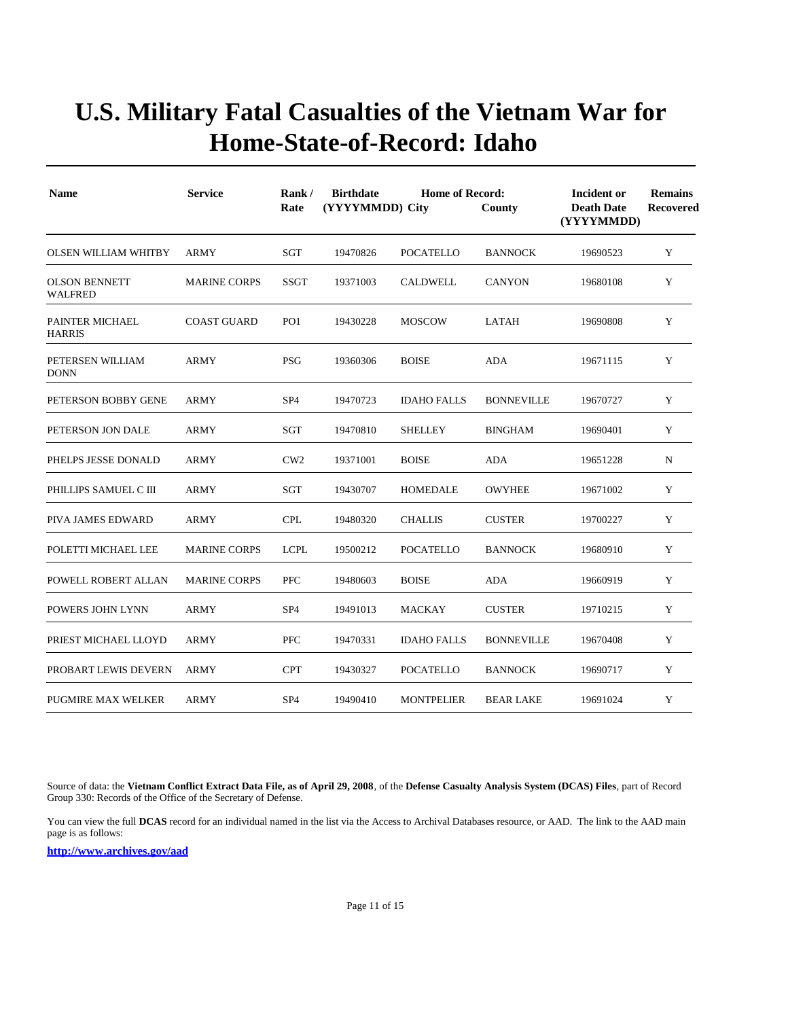| <b>Name</b>                            | <b>Service</b>      | Rank/<br>Rate   | <b>Birthdate</b><br><b>Home of Record:</b><br>(YYYYMMDD) City<br>County |                    |                   | Incident or<br><b>Death Date</b><br>(YYYYMMDD) | <b>Remains</b><br>Recovered |
|----------------------------------------|---------------------|-----------------|-------------------------------------------------------------------------|--------------------|-------------------|------------------------------------------------|-----------------------------|
| <b>OLSEN WILLIAM WHITBY</b>            | <b>ARMY</b>         | SGT             | 19470826                                                                | <b>POCATELLO</b>   | <b>BANNOCK</b>    | 19690523                                       | Y                           |
| <b>OLSON BENNETT</b><br><b>WALFRED</b> | <b>MARINE CORPS</b> | <b>SSGT</b>     | 19371003                                                                | <b>CALDWELL</b>    | <b>CANYON</b>     | 19680108                                       | Y                           |
| PAINTER MICHAEL<br><b>HARRIS</b>       | <b>COAST GUARD</b>  | PO <sub>1</sub> | 19430228                                                                | <b>MOSCOW</b>      | <b>LATAH</b>      | 19690808                                       | Y                           |
| PETERSEN WILLIAM<br><b>DONN</b>        | <b>ARMY</b>         | <b>PSG</b>      | 19360306                                                                | <b>BOISE</b>       | <b>ADA</b>        | 19671115                                       | Y                           |
| PETERSON BOBBY GENE                    | <b>ARMY</b>         | SP <sub>4</sub> | 19470723                                                                | <b>IDAHO FALLS</b> | <b>BONNEVILLE</b> | 19670727                                       | Y                           |
| PETERSON JON DALE                      | <b>ARMY</b>         | SGT             | 19470810                                                                | <b>SHELLEY</b>     | <b>BINGHAM</b>    | 19690401                                       | Y                           |
| PHELPS JESSE DONALD                    | ARMY                | CW2             | 19371001                                                                | <b>BOISE</b>       | <b>ADA</b>        | 19651228                                       | N                           |
| PHILLIPS SAMUEL C III                  | <b>ARMY</b>         | <b>SGT</b>      | 19430707                                                                | <b>HOMEDALE</b>    | <b>OWYHEE</b>     | 19671002                                       | Y                           |
| PIVA JAMES EDWARD                      | ARMY                | <b>CPL</b>      | 19480320                                                                | <b>CHALLIS</b>     | <b>CUSTER</b>     | 19700227                                       | Y                           |
| POLETTI MICHAEL LEE                    | <b>MARINE CORPS</b> | <b>LCPL</b>     | 19500212                                                                | <b>POCATELLO</b>   | <b>BANNOCK</b>    | 19680910                                       | Y                           |
| POWELL ROBERT ALLAN                    | <b>MARINE CORPS</b> | <b>PFC</b>      | 19480603                                                                | <b>BOISE</b>       | <b>ADA</b>        | 19660919                                       | Y                           |
| POWERS JOHN LYNN                       | <b>ARMY</b>         | SP <sub>4</sub> | 19491013                                                                | <b>MACKAY</b>      | <b>CUSTER</b>     | 19710215                                       | Y                           |
| PRIEST MICHAEL LLOYD                   | <b>ARMY</b>         | <b>PFC</b>      | 19470331                                                                | <b>IDAHO FALLS</b> | <b>BONNEVILLE</b> | 19670408                                       | Y                           |
| PROBART LEWIS DEVERN                   | ARMY                | <b>CPT</b>      | 19430327                                                                | <b>POCATELLO</b>   | <b>BANNOCK</b>    | 19690717                                       | Y                           |
| <b>PUGMIRE MAX WELKER</b>              | <b>ARMY</b>         | SP <sub>4</sub> | 19490410                                                                | <b>MONTPELIER</b>  | <b>BEAR LAKE</b>  | 19691024                                       | Y                           |

Source of data: the **Vietnam Conflict Extract Data File, as of April 29, 2008**, of the **Defense Casualty Analysis System (DCAS) Files**, part of Record Group 330: Records of the Office of the Secretary of Defense.

You can view the full **DCAS** record for an individual named in the list via the Access to Archival Databases resource, or AAD. The link to the AAD main page is as follows: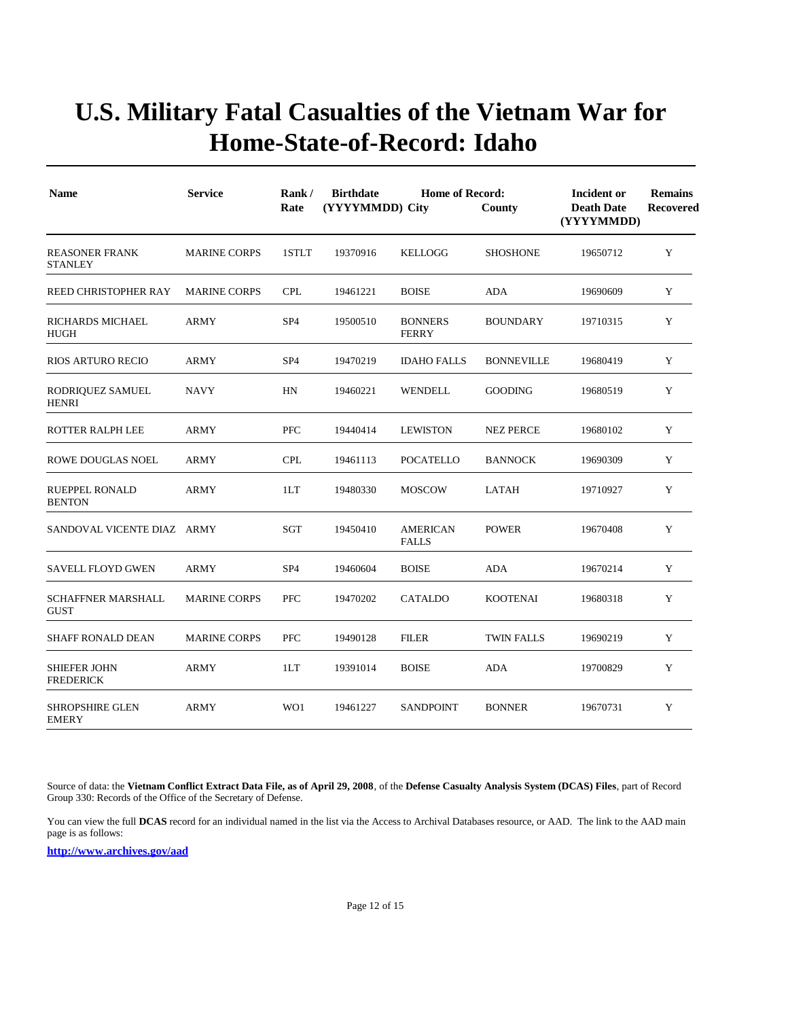| <b>Name</b>                              | <b>Service</b>      | Rank/<br>Rate   | <b>Birthdate</b><br>(YYYYMMDD) City | <b>Incident or</b><br><b>Death Date</b><br>(YYYYMMDD) | <b>Remains</b><br>Recovered |          |   |
|------------------------------------------|---------------------|-----------------|-------------------------------------|-------------------------------------------------------|-----------------------------|----------|---|
| <b>REASONER FRANK</b><br><b>STANLEY</b>  | <b>MARINE CORPS</b> | 1STLT           | 19370916                            | <b>KELLOGG</b>                                        | <b>SHOSHONE</b>             | 19650712 | Y |
| REED CHRISTOPHER RAY                     | <b>MARINE CORPS</b> | <b>CPL</b>      | 19461221                            | <b>BOISE</b>                                          | ADA                         | 19690609 | Y |
| RICHARDS MICHAEL<br><b>HUGH</b>          | <b>ARMY</b>         | SP <sub>4</sub> | 19500510                            | <b>BONNERS</b><br><b>FERRY</b>                        | <b>BOUNDARY</b>             | 19710315 | Y |
| <b>RIOS ARTURO RECIO</b>                 | <b>ARMY</b>         | SP <sub>4</sub> | 19470219                            | <b>IDAHO FALLS</b>                                    | <b>BONNEVILLE</b>           | 19680419 | Y |
| RODRIQUEZ SAMUEL<br><b>HENRI</b>         | NAVY                | HN              | 19460221                            | WENDELL                                               | <b>GOODING</b>              | 19680519 | Y |
| ROTTER RALPH LEE                         | <b>ARMY</b>         | <b>PFC</b>      | 19440414                            | <b>LEWISTON</b>                                       | <b>NEZ PERCE</b>            | 19680102 | Y |
| <b>ROWE DOUGLAS NOEL</b>                 | <b>ARMY</b>         | <b>CPL</b>      | 19461113                            | <b>POCATELLO</b>                                      | <b>BANNOCK</b>              | 19690309 | Y |
| <b>RUEPPEL RONALD</b><br><b>BENTON</b>   | <b>ARMY</b>         | 1LT             | 19480330                            | <b>MOSCOW</b>                                         | LATAH                       | 19710927 | Y |
| SANDOVAL VICENTE DIAZ ARMY               |                     | <b>SGT</b>      | 19450410                            | <b>AMERICAN</b><br><b>FALLS</b>                       | <b>POWER</b>                | 19670408 | Y |
| <b>SAVELL FLOYD GWEN</b>                 | ARMY                | SP <sub>4</sub> | 19460604                            | <b>BOISE</b>                                          | ADA                         | 19670214 | Y |
| <b>SCHAFFNER MARSHALL</b><br><b>GUST</b> | <b>MARINE CORPS</b> | <b>PFC</b>      | 19470202                            | <b>CATALDO</b>                                        | <b>KOOTENAI</b>             | 19680318 | Y |
| <b>SHAFF RONALD DEAN</b>                 | <b>MARINE CORPS</b> | <b>PFC</b>      | 19490128                            | <b>FILER</b>                                          | <b>TWIN FALLS</b>           | 19690219 | Y |
| SHIEFER JOHN<br><b>FREDERICK</b>         | <b>ARMY</b>         | 1LT             | 19391014                            | <b>BOISE</b>                                          | <b>ADA</b>                  | 19700829 | Y |
| <b>SHROPSHIRE GLEN</b><br><b>EMERY</b>   | <b>ARMY</b>         | WO1             | 19461227                            | <b>SANDPOINT</b>                                      | <b>BONNER</b>               | 19670731 | Y |

Source of data: the **Vietnam Conflict Extract Data File, as of April 29, 2008**, of the **Defense Casualty Analysis System (DCAS) Files**, part of Record Group 330: Records of the Office of the Secretary of Defense.

You can view the full **DCAS** record for an individual named in the list via the Access to Archival Databases resource, or AAD. The link to the AAD main page is as follows: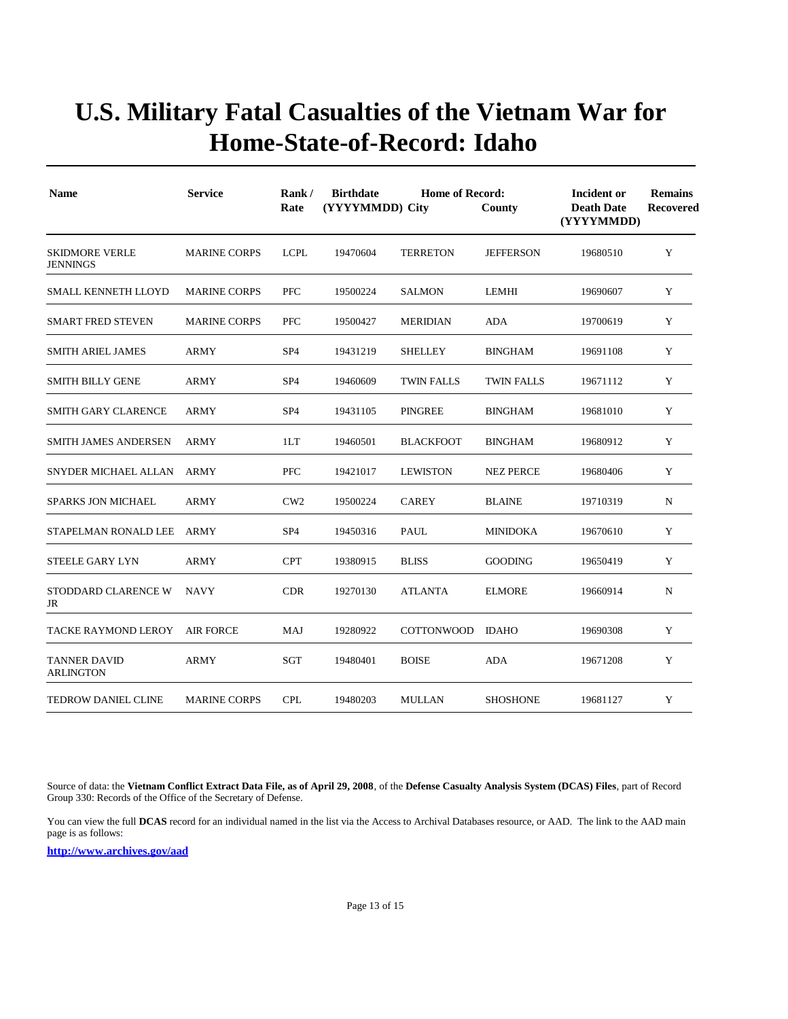| <b>Name</b>                              | <b>Service</b><br><b>MARINE CORPS</b> | Rank/<br>Rate   | <b>Birthdate</b><br><b>Home of Record:</b><br>(YYYYMMDD) City |                   | County            | Incident or<br><b>Death Date</b><br>(YYYYMMDD) | <b>Remains</b><br><b>Recovered</b> |
|------------------------------------------|---------------------------------------|-----------------|---------------------------------------------------------------|-------------------|-------------------|------------------------------------------------|------------------------------------|
| <b>SKIDMORE VERLE</b><br><b>JENNINGS</b> |                                       | <b>LCPL</b>     | 19470604                                                      | <b>TERRETON</b>   | <b>JEFFERSON</b>  | 19680510                                       | Y                                  |
| <b>SMALL KENNETH LLOYD</b>               | <b>MARINE CORPS</b>                   | <b>PFC</b>      | 19500224                                                      | <b>SALMON</b>     | LEMHI             | 19690607                                       | Y                                  |
| <b>SMART FRED STEVEN</b>                 | <b>MARINE CORPS</b>                   | <b>PFC</b>      | 19500427                                                      | <b>MERIDIAN</b>   | ADA               | 19700619                                       | Y                                  |
| <b>SMITH ARIEL JAMES</b>                 | <b>ARMY</b>                           | SP <sub>4</sub> | 19431219                                                      | <b>SHELLEY</b>    | <b>BINGHAM</b>    | 19691108                                       | Y                                  |
| <b>SMITH BILLY GENE</b>                  | <b>ARMY</b>                           | SP <sub>4</sub> | 19460609                                                      | <b>TWIN FALLS</b> | <b>TWIN FALLS</b> | 19671112                                       | Y                                  |
| <b>SMITH GARY CLARENCE</b>               | <b>ARMY</b>                           | SP <sub>4</sub> | 19431105                                                      | <b>PINGREE</b>    | <b>BINGHAM</b>    | 19681010                                       | Y                                  |
| <b>SMITH JAMES ANDERSEN</b>              | ARMY                                  | 1LT             | 19460501                                                      | <b>BLACKFOOT</b>  | <b>BINGHAM</b>    | 19680912                                       | Y                                  |
| SNYDER MICHAEL ALLAN                     | ARMY                                  | <b>PFC</b>      | 19421017                                                      | <b>LEWISTON</b>   | <b>NEZ PERCE</b>  | 19680406                                       | Y                                  |
| <b>SPARKS JON MICHAEL</b>                | <b>ARMY</b>                           | CW <sub>2</sub> | 19500224                                                      | <b>CAREY</b>      | <b>BLAINE</b>     | 19710319                                       | N                                  |
| STAPELMAN RONALD LEE                     | ARMY                                  | SP <sub>4</sub> | 19450316                                                      | PAUL              | <b>MINIDOKA</b>   | 19670610                                       | Y                                  |
| <b>STEELE GARY LYN</b>                   | <b>ARMY</b>                           | <b>CPT</b>      | 19380915                                                      | <b>BLISS</b>      | <b>GOODING</b>    | 19650419                                       | Y                                  |
| STODDARD CLARENCE W<br>JR                | <b>NAVY</b>                           | <b>CDR</b>      | 19270130                                                      | <b>ATLANTA</b>    | <b>ELMORE</b>     | 19660914                                       | N                                  |
| TACKE RAYMOND LEROY                      | <b>AIR FORCE</b>                      | MAJ             | 19280922                                                      | <b>COTTONWOOD</b> | <b>IDAHO</b>      | 19690308                                       | Y                                  |
| <b>TANNER DAVID</b><br><b>ARLINGTON</b>  | ARMY                                  | SGT             | 19480401                                                      | <b>BOISE</b>      | ADA               | 19671208                                       | Y                                  |
| <b>TEDROW DANIEL CLINE</b>               | <b>MARINE CORPS</b>                   | <b>CPL</b>      | 19480203                                                      | <b>MULLAN</b>     | <b>SHOSHONE</b>   | 19681127                                       | Y                                  |

Source of data: the **Vietnam Conflict Extract Data File, as of April 29, 2008**, of the **Defense Casualty Analysis System (DCAS) Files**, part of Record Group 330: Records of the Office of the Secretary of Defense.

You can view the full **DCAS** record for an individual named in the list via the Access to Archival Databases resource, or AAD. The link to the AAD main page is as follows: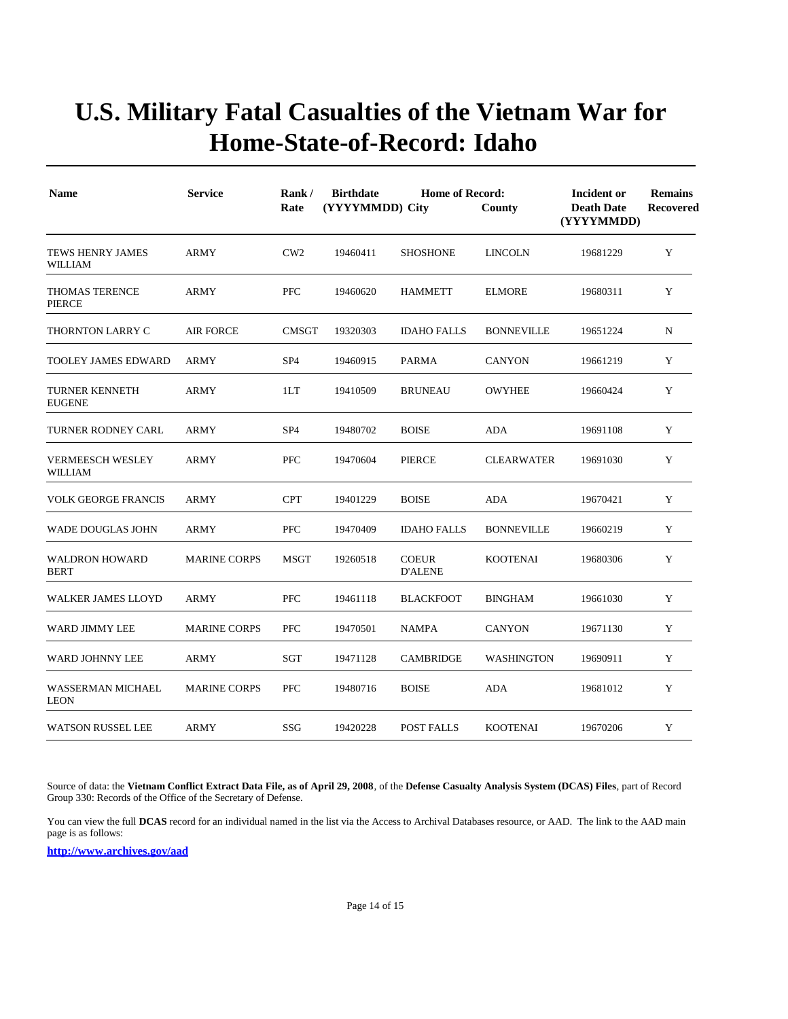| <b>Name</b>                               | <b>Service</b><br><b>ARMY</b> | Rank/<br>Rate   | <b>Birthdate</b><br>(YYYYMMDD) City | <b>Home of Record:</b>         | County            | Incident or<br><b>Death Date</b><br>(YYYYMMDD)<br>19681229 | <b>Remains</b><br><b>Recovered</b><br>Y |
|-------------------------------------------|-------------------------------|-----------------|-------------------------------------|--------------------------------|-------------------|------------------------------------------------------------|-----------------------------------------|
| TEWS HENRY JAMES<br>WILLIAM               |                               | CW2             | 19460411                            | <b>SHOSHONE</b>                | <b>LINCOLN</b>    |                                                            |                                         |
| <b>THOMAS TERENCE</b><br><b>PIERCE</b>    | <b>ARMY</b>                   | PFC             | 19460620                            | <b>HAMMETT</b>                 | <b>ELMORE</b>     | 19680311                                                   | Y                                       |
| THORNTON LARRY C                          | <b>AIR FORCE</b>              | <b>CMSGT</b>    | 19320303                            | <b>IDAHO FALLS</b>             | <b>BONNEVILLE</b> | 19651224                                                   | N                                       |
| TOOLEY JAMES EDWARD                       | <b>ARMY</b>                   | SP <sub>4</sub> | 19460915                            | PARMA                          | <b>CANYON</b>     | 19661219                                                   | Y                                       |
| <b>TURNER KENNETH</b><br><b>EUGENE</b>    | <b>ARMY</b>                   | 1LT             | 19410509                            | <b>BRUNEAU</b>                 | <b>OWYHEE</b>     | 19660424                                                   | Y                                       |
| TURNER RODNEY CARL                        | <b>ARMY</b>                   | SP <sub>4</sub> | 19480702                            | <b>BOISE</b>                   | ADA               | 19691108                                                   | Y                                       |
| <b>VERMEESCH WESLEY</b><br><b>WILLIAM</b> | <b>ARMY</b>                   | PFC             | 19470604                            | PIERCE                         | <b>CLEARWATER</b> | 19691030                                                   | Y                                       |
| <b>VOLK GEORGE FRANCIS</b>                | <b>ARMY</b>                   | <b>CPT</b>      | 19401229                            | <b>BOISE</b>                   | ADA               | 19670421                                                   | Y                                       |
| <b>WADE DOUGLAS JOHN</b>                  | <b>ARMY</b>                   | PFC             | 19470409                            | <b>IDAHO FALLS</b>             | <b>BONNEVILLE</b> | 19660219                                                   | Y                                       |
| <b>WALDRON HOWARD</b><br><b>BERT</b>      | <b>MARINE CORPS</b>           | <b>MSGT</b>     | 19260518                            | <b>COEUR</b><br><b>D'ALENE</b> | <b>KOOTENAI</b>   | 19680306                                                   | Y                                       |
| WALKER JAMES LLOYD                        | <b>ARMY</b>                   | PFC             | 19461118                            | <b>BLACKFOOT</b>               | <b>BINGHAM</b>    | 19661030                                                   | Y                                       |
| WARD JIMMY LEE                            | <b>MARINE CORPS</b>           | PFC             | 19470501                            | <b>NAMPA</b>                   | <b>CANYON</b>     | 19671130                                                   | Y                                       |
| WARD JOHNNY LEE                           | <b>ARMY</b>                   | <b>SGT</b>      | 19471128                            | CAMBRIDGE                      | WASHINGTON        | 19690911                                                   | Y                                       |
| <b>WASSERMAN MICHAEL</b><br><b>LEON</b>   | <b>MARINE CORPS</b>           | PFC             | 19480716                            | <b>BOISE</b>                   | <b>ADA</b>        | 19681012                                                   | Y                                       |
| <b>WATSON RUSSEL LEE</b>                  | <b>ARMY</b>                   | SSG             | 19420228                            | POST FALLS                     | <b>KOOTENAI</b>   | 19670206                                                   | Y                                       |

Source of data: the **Vietnam Conflict Extract Data File, as of April 29, 2008**, of the **Defense Casualty Analysis System (DCAS) Files**, part of Record Group 330: Records of the Office of the Secretary of Defense.

You can view the full **DCAS** record for an individual named in the list via the Access to Archival Databases resource, or AAD. The link to the AAD main page is as follows: